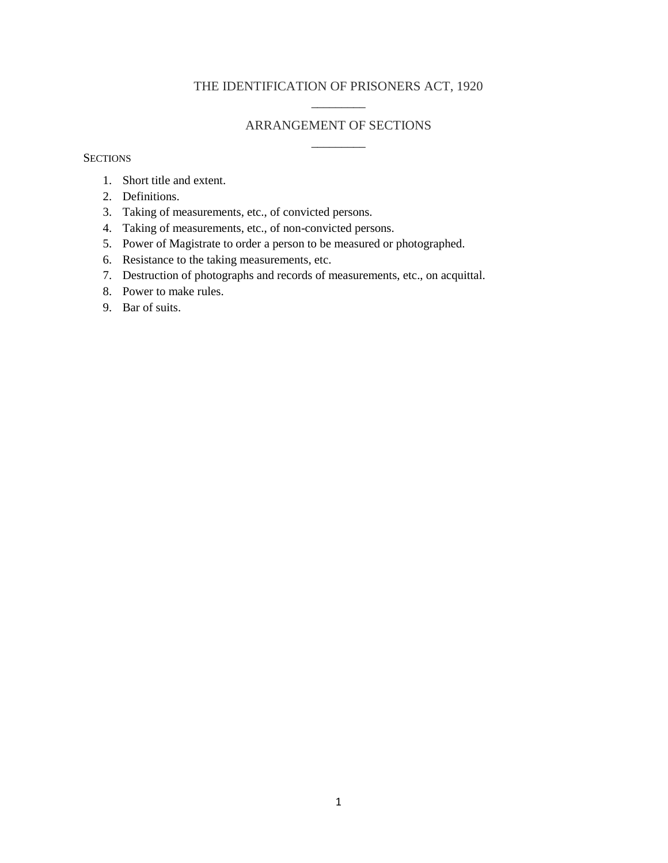# THE IDENTIFICATION OF PRISONERS ACT, 1920 \_\_\_\_\_\_\_\_\_

### ARRANGEMENT OF SECTIONS \_\_\_\_\_\_\_\_\_

#### **SECTIONS**

- 1. Short title and extent.
- 2. Definitions.
- 3. Taking of measurements, etc., of convicted persons.
- 4. Taking of measurements, etc., of non-convicted persons.
- 5. Power of Magistrate to order a person to be measured or photographed.
- 6. Resistance to the taking measurements, etc.
- 7. Destruction of photographs and records of measurements, etc., on acquittal.
- 8. Power to make rules.
- 9. Bar of suits.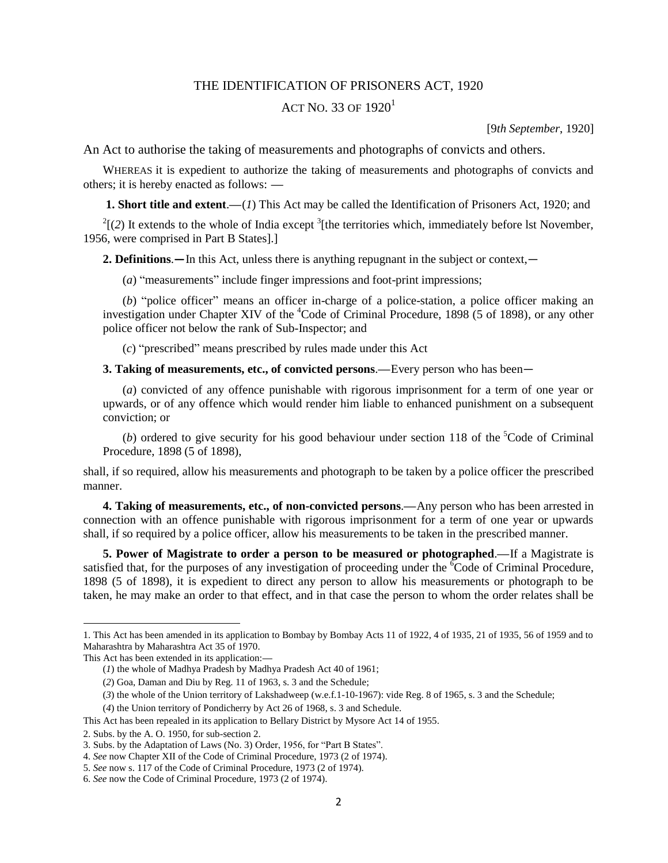#### THE IDENTIFICATION OF PRISONERS ACT, 1920

## ACT NO. 33 OF  $1920<sup>1</sup>$

[9*th September*, 1920]

An Act to authorise the taking of measurements and photographs of convicts and others.

WHEREAS it is expedient to authorize the taking of measurements and photographs of convicts and others; it is hereby enacted as follows: **—**

**1. Short title and extent**.**—**(*1*) This Act may be called the Identification of Prisoners Act, 1920; and

 $2^{2}$ [(2) It extends to the whole of India except  $3$ [the territories which, immediately before lst November, 1956, were comprised in Part B States].]

**2. Definitions**.**—**In this Act, unless there is anything repugnant in the subject or context,—

(*a*) "measurements" include finger impressions and foot-print impressions;

(*b*) "police officer" means an officer in-charge of a police-station, a police officer making an investigation under Chapter XIV of the <sup>4</sup>Code of Criminal Procedure, 1898 (5 of 1898), or any other police officer not below the rank of Sub-Inspector; and

(*c*) "prescribed" means prescribed by rules made under this Act

**3. Taking of measurements, etc., of convicted persons**.**—**Every person who has been—

(*a*) convicted of any offence punishable with rigorous imprisonment for a term of one year or upwards, or of any offence which would render him liable to enhanced punishment on a subsequent conviction; or

(*b*) ordered to give security for his good behaviour under section 118 of the  ${}^{5}$ Code of Criminal Procedure, 1898 (5 of 1898),

shall, if so required, allow his measurements and photograph to be taken by a police officer the prescribed manner.

**4. Taking of measurements, etc., of non-convicted persons**.**—**Any person who has been arrested in connection with an offence punishable with rigorous imprisonment for a term of one year or upwards shall, if so required by a police officer, allow his measurements to be taken in the prescribed manner.

**5. Power of Magistrate to order a person to be measured or photographed**.**—**If a Magistrate is satisfied that, for the purposes of any investigation of proceeding under the <sup>6</sup>Code of Criminal Procedure, 1898 (5 of 1898), it is expedient to direct any person to allow his measurements or photograph to be taken, he may make an order to that effect, and in that case the person to whom the order relates shall be

 $\overline{a}$ 

<sup>1.</sup> This Act has been amended in its application to Bombay by Bombay Acts 11 of 1922, 4 of 1935, 21 of 1935, 56 of 1959 and to Maharashtra by Maharashtra Act 35 of 1970.

This Act has been extended in its application:**—**

<sup>(</sup>*1*) the whole of Madhya Pradesh by Madhya Pradesh Act 40 of 1961;

<sup>(</sup>*2*) Goa, Daman and Diu by Reg. 11 of 1963, s. 3 and the Schedule;

<sup>(</sup>*3*) the whole of the Union territory of Lakshadweep (w.e.f.1-10-1967): vide Reg. 8 of 1965, s. 3 and the Schedule;

<sup>(</sup>*4*) the Union territory of Pondicherry by Act 26 of 1968, s. 3 and Schedule.

This Act has been repealed in its application to Bellary District by Mysore Act 14 of 1955.

<sup>2.</sup> Subs. by the A. O. 1950, for sub-section 2.

<sup>3.</sup> Subs. by the Adaptation of Laws (No. 3) Order, 1956, for "Part B States".

<sup>4.</sup> *See* now Chapter XII of the Code of Criminal Procedure, 1973 (2 of 1974).

<sup>5.</sup> *See* now s. 117 of the Code of Criminal Procedure, 1973 (2 of 1974).

<sup>6.</sup> *See* now the Code of Criminal Procedure, 1973 (2 of 1974).